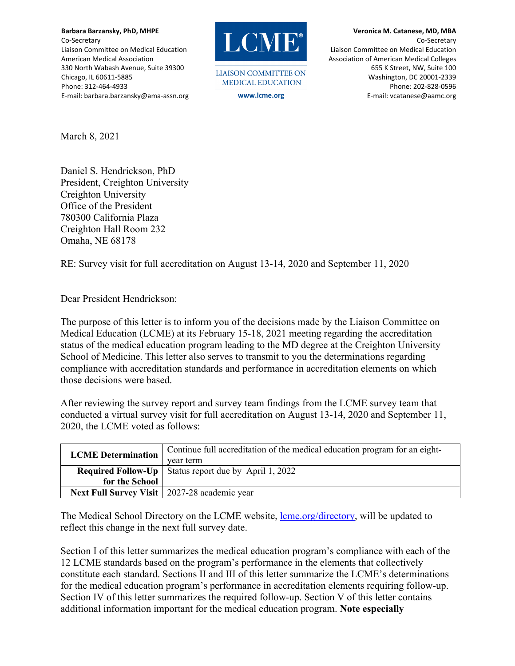**Barbara Barzansky, PhD, MHPE** Co‐Secretary Liaison Committee on Medical Education American Medical Association 330 North Wabash Avenue, Suite 39300 Chicago, IL 60611‐5885 Phone: 312‐464‐4933 E‐mail: barbara.barzansky@ama‐assn.org



**LIAISON COMMITTEE ON MEDICAL EDUCATION** 

**Veronica M. Catanese, MD, MBA**  Co‐Secretary Liaison Committee on Medical Education Association of American Medical Colleges 655 K Street, NW, Suite 100 Washington, DC 20001‐2339 Phone: 202‐828‐0596 **www.lcme.org** E‐mail: vcatanese@aamc.org

March 8, 2021

Daniel S. Hendrickson, PhD President, Creighton University Creighton University Office of the President 780300 California Plaza Creighton Hall Room 232 Omaha, NE 68178

RE: Survey visit for full accreditation on August 13-14, 2020 and September 11, 2020

Dear President Hendrickson:

The purpose of this letter is to inform you of the decisions made by the Liaison Committee on Medical Education (LCME) at its February 15-18, 2021 meeting regarding the accreditation status of the medical education program leading to the MD degree at the Creighton University School of Medicine. This letter also serves to transmit to you the determinations regarding compliance with accreditation standards and performance in accreditation elements on which those decisions were based.

After reviewing the survey report and survey team findings from the LCME survey team that conducted a virtual survey visit for full accreditation on August 13-14, 2020 and September 11, 2020, the LCME voted as follows:

| <b>LCME</b> Determination | Continue full accreditation of the medical education program for an eight-<br>vear term |
|---------------------------|-----------------------------------------------------------------------------------------|
|                           | <b>Required Follow-Up</b>   Status report due by April 1, 2022                          |
| for the School            |                                                                                         |
|                           | Next Full Survey Visit   2027-28 academic year                                          |

The Medical School Directory on the LCME website, lome.org/directory, will be updated to reflect this change in the next full survey date.

Section I of this letter summarizes the medical education program's compliance with each of the 12 LCME standards based on the program's performance in the elements that collectively constitute each standard. Sections II and III of this letter summarize the LCME's determinations for the medical education program's performance in accreditation elements requiring follow-up. Section IV of this letter summarizes the required follow-up. Section V of this letter contains additional information important for the medical education program. **Note especially**